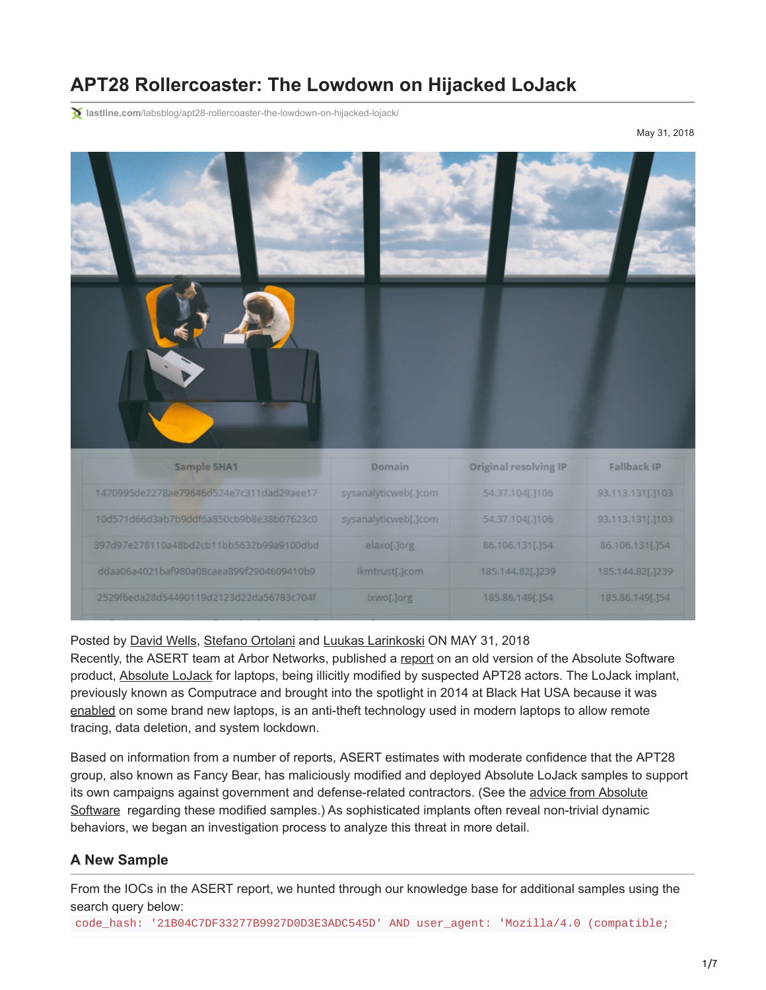# **APT28 Rollercoaster: The Lowdown on Hijacked LoJack**

**lastline.com**[/labsblog/apt28-rollercoaster-the-lowdown-on-hijacked-lojack/](https://www.lastline.com/labsblog/apt28-rollercoaster-the-lowdown-on-hijacked-lojack/)

May 31, 2018



#### Posted by [David Wells](https://www.lastline.com/author/dwells/), [Stefano Ortolani](https://www.lastline.com/author/stefano/) and [Luukas Larinkoski](https://www.lastline.com/author/luukas/) ON MAY 31, 2018

Recently, the ASERT team at Arbor Networks, published a [report](https://asert.arbornetworks.com/lojack-becomes-a-double-agent/) on an old version of the Absolute Software product, [Absolute LoJack](https://www.absolute.com/en/resources/faq/absolute-response-to-arbor-lojack-research) for laptops, being illicitly modified by suspected APT28 actors. The LoJack implant, previously known as Computrace and brought into the spotlight in 2014 at Black Hat USA because it was [enabled](https://www.blackhat.com/docs/us-14/materials/us-14-Kamluk-Computrace-Backdoor-Revisited-WP.pdf) on some brand new laptops, is an anti-theft technology used in modern laptops to allow remote tracing, data deletion, and system lockdown.

Based on information from a number of reports, ASERT estimates with moderate confidence that the APT28 group, also known as Fancy Bear, has maliciously modified and deployed Absolute LoJack samples to support [its own campaigns against government and defense-related contractors. \(See the advice from Absolute](https://www.absolute.com/en/resources/faq/absolute-response-to-arbor-lojack-research) Software regarding these modified samples.) As sophisticated implants often reveal non-trivial dynamic behaviors, we began an investigation process to analyze this threat in more detail.

#### **A New Sample**

From the IOCs in the ASERT report, we hunted through our knowledge base for additional samples using the search query below:

code\_hash: '21B04C7DF33277B9927D0D3E3ADC545D' AND user\_agent: 'Mozilla/4.0 (compatible;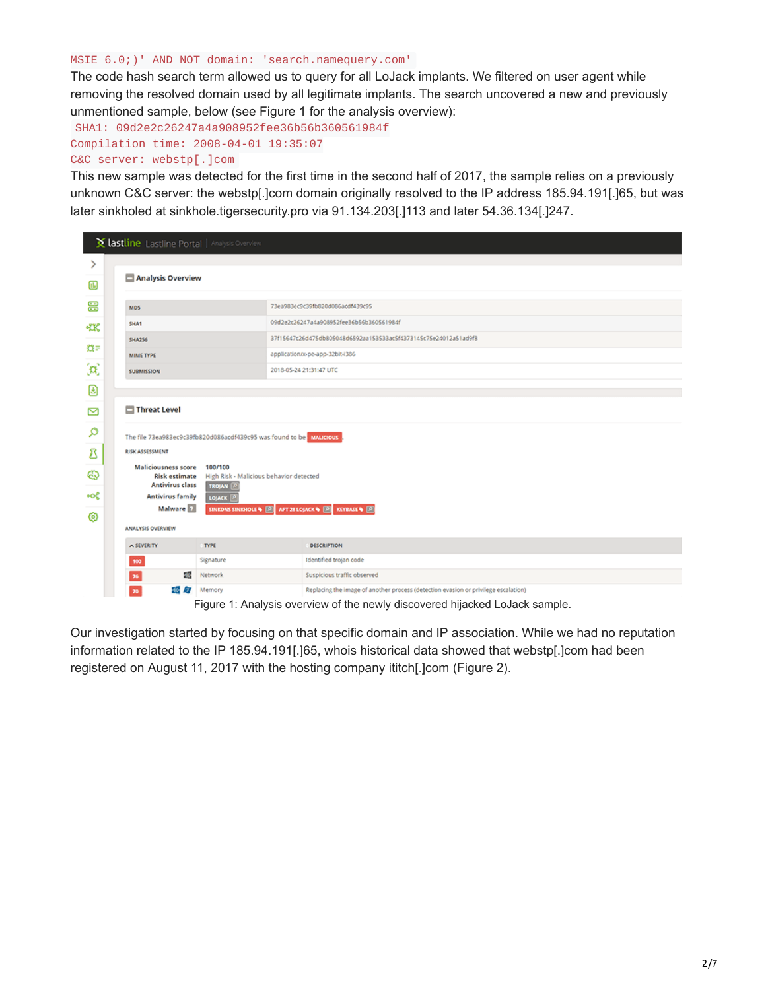#### MSIE 6.0;)' AND NOT domain: 'search.namequery.com'

The code hash search term allowed us to query for all LoJack implants. We filtered on user agent while removing the resolved domain used by all legitimate implants. The search uncovered a new and previously unmentioned sample, below (see Figure 1 for the analysis overview):

SHA1: 09d2e2c26247a4a908952fee36b56b360561984f Compilation time: 2008-04-01 19:35:07 C&C server: webstp[.]com

This new sample was detected for the first time in the second half of 2017, the sample relies on a previously unknown C&C server: the webstp[.]com domain originally resolved to the IP address 185.94.191[.]65, but was later sinkholed at sinkhole.tigersecurity.pro via 91.134.203[.]113 and later 54.36.134[.]247.

|            | <b>X lastline</b> Lastline Portal   Analysis Overview                                                    |                     |                                                                                    |  |  |  |  |
|------------|----------------------------------------------------------------------------------------------------------|---------------------|------------------------------------------------------------------------------------|--|--|--|--|
| ⋋          |                                                                                                          |                     |                                                                                    |  |  |  |  |
| $\text{m}$ | Analysis Overview                                                                                        |                     |                                                                                    |  |  |  |  |
| 응          | MD5                                                                                                      |                     | 73ea983ec9c39fb820d086acdf439c95                                                   |  |  |  |  |
| <b>XX</b>  | SHA1                                                                                                     |                     | 09d2e2c26247a4a908952fee36b56b360561984f                                           |  |  |  |  |
|            | <b>SHA256</b>                                                                                            |                     | 37f15647c26d475db805048d6592aa153533ac5f4373145c75e24012a51ad9f8                   |  |  |  |  |
| 費目         | MIME TYPE<br><b>SUBMISSION</b>                                                                           |                     | application/x-pe-app-32bit-i386<br>2018-05-24 21:31:47 UTC                         |  |  |  |  |
| þ,         |                                                                                                          |                     |                                                                                    |  |  |  |  |
| €          |                                                                                                          |                     |                                                                                    |  |  |  |  |
| Ŋ          | Threat Level                                                                                             |                     |                                                                                    |  |  |  |  |
| ٩          | The file 73ea983ec9c39fb820d086acdf439c95 was found to be MALICIOUS                                      |                     |                                                                                    |  |  |  |  |
| Δ          | <b>RISK ASSESSMENT</b>                                                                                   |                     |                                                                                    |  |  |  |  |
| ⊕          | <b>Maliciousness score</b><br>100/100<br><b>Risk estimate</b><br>High Risk - Malicious behavior detected |                     |                                                                                    |  |  |  |  |
| ∙≪         | <b>Antivirus class</b><br>TROJAN <sup>2</sup><br><b>Antivirus family</b><br>LOJACK <sup>O</sup>          |                     |                                                                                    |  |  |  |  |
| ග          | Malware 2<br>SINKONS SINKHOLE \ <b>D</b> APT 28 LOJACK \ <b>D</b> KEYBASE \ D                            |                     |                                                                                    |  |  |  |  |
|            | <b>ANALYSIS OVERVIEW</b>                                                                                 |                     |                                                                                    |  |  |  |  |
|            | A SEVERITY                                                                                               | <b>TYPE</b>         | <b>DESCRIPTION</b>                                                                 |  |  |  |  |
|            | 100                                                                                                      | Signature           | Identified trojan code                                                             |  |  |  |  |
|            | 40<br>76                                                                                                 | Network             | Suspicious traffic observed                                                        |  |  |  |  |
|            | 70 <sub>2</sub>                                                                                          | <b>10 AV</b> Memory | Replacing the image of another process (detection evasion or privilege escalation) |  |  |  |  |

Figure 1: Analysis overview of the newly discovered hijacked LoJack sample.

Our investigation started by focusing on that specific domain and IP association. While we had no reputation information related to the IP 185.94.191[.]65, whois historical data showed that webstp[.]com had been registered on August 11, 2017 with the hosting company ititch[.]com (Figure 2).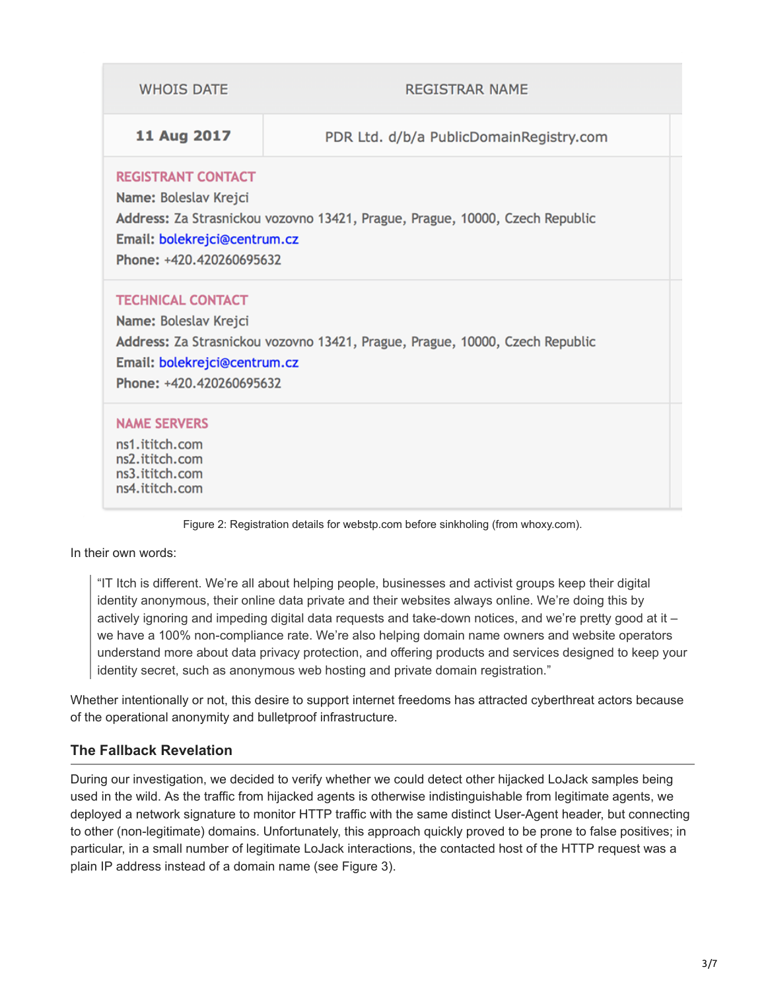| <b>WHOIS DATE</b>                                                                                                                                                                              | <b>REGISTRAR NAME</b>                   |  |  |  |  |
|------------------------------------------------------------------------------------------------------------------------------------------------------------------------------------------------|-----------------------------------------|--|--|--|--|
| 11 Aug 2017                                                                                                                                                                                    | PDR Ltd. d/b/a PublicDomainRegistry.com |  |  |  |  |
| <b>REGISTRANT CONTACT</b><br>Name: Boleslav Krejci<br>Address: Za Strasnickou vozovno 13421, Prague, Prague, 10000, Czech Republic<br>Email: bolekrejci@centrum.cz<br>Phone: +420.420260695632 |                                         |  |  |  |  |
| <b>TECHNICAL CONTACT</b><br>Name: Boleslav Krejci<br>Address: Za Strasnickou vozovno 13421, Prague, Prague, 10000, Czech Republic<br>Email: bolekrejci@centrum.cz<br>Phone: +420.420260695632  |                                         |  |  |  |  |
| <b>NAME SERVERS</b><br>ns1.ititch.com<br>ns2.ititch.com<br>ns3.ititch.com<br>ns4.ititch.com                                                                                                    |                                         |  |  |  |  |

Figure 2: Registration details for webstp.com before sinkholing (from whoxy.com).

In their own words:

"IT Itch is different. We're all about helping people, businesses and activist groups keep their digital identity anonymous, their online data private and their websites always online. We're doing this by actively ignoring and impeding digital data requests and take-down notices, and we're pretty good at it – we have a 100% non-compliance rate. We're also helping domain name owners and website operators understand more about data privacy protection, and offering products and services designed to keep your identity secret, such as anonymous web hosting and private domain registration."

Whether intentionally or not, this desire to support internet freedoms has attracted cyberthreat actors because of the operational anonymity and bulletproof infrastructure.

## **The Fallback Revelation**

During our investigation, we decided to verify whether we could detect other hijacked LoJack samples being used in the wild. As the traffic from hijacked agents is otherwise indistinguishable from legitimate agents, we deployed a network signature to monitor HTTP traffic with the same distinct User-Agent header, but connecting to other (non-legitimate) domains. Unfortunately, this approach quickly proved to be prone to false positives; in particular, in a small number of legitimate LoJack interactions, the contacted host of the HTTP request was a plain IP address instead of a domain name (see Figure 3).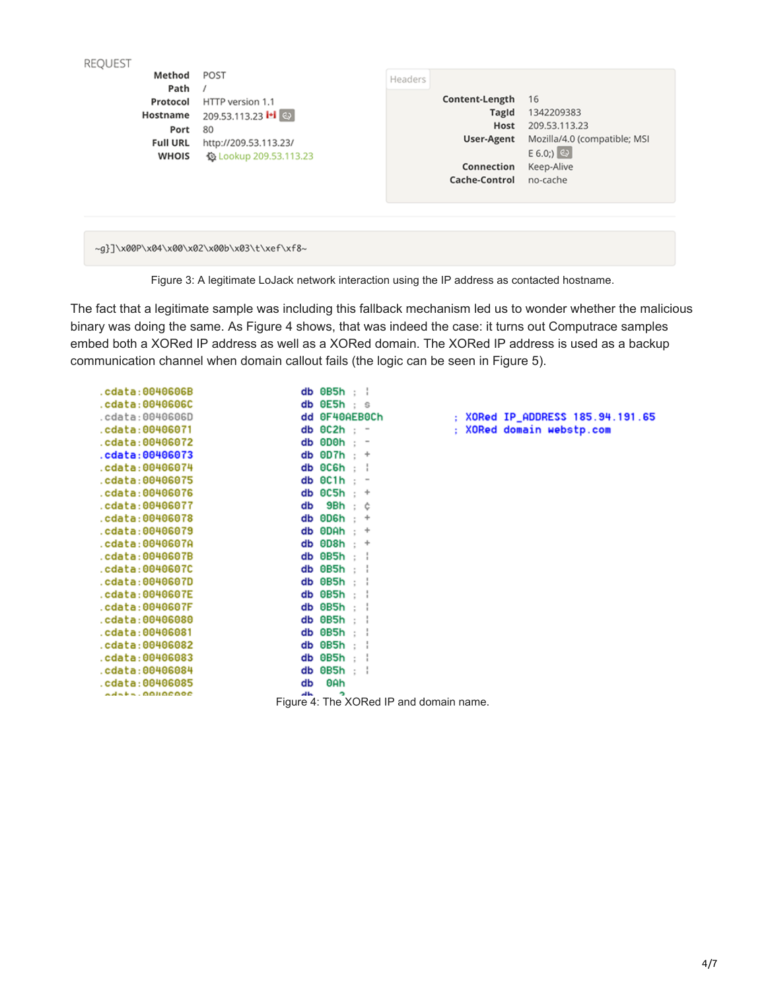| Method<br>Path<br>Protocol<br>Hostname<br>Port<br><b>Full URL</b><br><b>WHOIS</b> | POST<br>HTTP version 1.1<br>209.53.113.23 <b> + </b> ©<br>80<br>http://209.53.113.23/<br><b>© Lookup 209.53.113.23</b> | Headers | Content-Length<br>TagId<br>Host<br>User-Agent<br>Connection<br>Cache-Control | 16<br>1342209383<br>209.53.113.23<br>Mozilla/4.0 (compatible; MSI<br>$E(6.0)$ $\omega$<br>Keep-Alive<br>no-cache |
|-----------------------------------------------------------------------------------|------------------------------------------------------------------------------------------------------------------------|---------|------------------------------------------------------------------------------|------------------------------------------------------------------------------------------------------------------|
|                                                                                   | ~q}]\x00P\x04\x00\x02\x00b\x03\t\xef\xf8~                                                                              |         |                                                                              |                                                                                                                  |

Figure 3: A legitimate LoJack network interaction using the IP address as contacted hostname.

The fact that a legitimate sample was including this fallback mechanism led us to wonder whether the malicious binary was doing the same. As Figure 4 shows, that was indeed the case: it turns out Computrace samples embed both a XORed IP address as well as a XORed domain. The XORed IP address is used as a backup communication channel when domain callout fails (the logic can be seen in Figure 5).

| .cdata:0040606B      |               | $db$ $0B5h$ : $\frac{1}{2}$             |                                  |
|----------------------|---------------|-----------------------------------------|----------------------------------|
| .cdata:0040606C      | db 0E5h       | $\mathbf{S}$                            |                                  |
| .cdata:0040606D      |               | dd 0F40AEB0Ch                           | : XORed IP_ADDRESS 185.94.191.65 |
| .cdata:00406071      |               | $db$ $0C2h$ : $-$                       | : XORed domain webstp.com        |
| .cdata:00406072      |               | $db$ 0D0h $: -$                         |                                  |
| .cdata:00406073      |               | db $0D7h : +$                           |                                  |
| .cdata:00406074      |               | $db$ $0C6h$ ; $\vdash$                  |                                  |
| cdata:00406075.      |               | $db$ $0C1h$ : -                         |                                  |
| .cdata:00406076      |               | $db$ $0C5h$ : $+$                       |                                  |
| .cdata:00406077      | db            | 9Bh<br>: ĉ                              |                                  |
| .cdata:00406078      |               | db $\theta$ D6h : +                     |                                  |
| .cdata:00406079      | db 0DAh       | $\cdot$ +                               |                                  |
| .cdata:0040607A      | db 0D8h       | $\cdot$ +                               |                                  |
| .cdata:0040607B      | db 0B5h       | t i                                     |                                  |
| .cdata:0040607C      |               | $db$ $0B5h$ : $\vdash$                  |                                  |
| .cdata:0040607D      |               | $db$ $0B5h$ : :                         |                                  |
| .cdata:0040607E      |               | $db$ $0B5h$ : $\vdash$                  |                                  |
| .cdata:0040607F      | db 0B5h :     | ÷                                       |                                  |
| .cdata:00406080      | db 0B5h       | - 11                                    |                                  |
| .cdata:00406081      | $db$ $0B5h$ : |                                         |                                  |
| .cdata:00406082      |               | $db$ $0B5h$ : :                         |                                  |
| .cdata:00406083      |               | $db$ $0B5h$ ; ;                         |                                  |
| .cdata:00406084      | db 0B5h       | t i                                     |                                  |
| cdata:00406085       | db            | 0Ah                                     |                                  |
| $ad + + -$ .00400000 | ᆌᅛ            | ∍                                       |                                  |
|                      |               | Figure 4: The XORed IP and domain name. |                                  |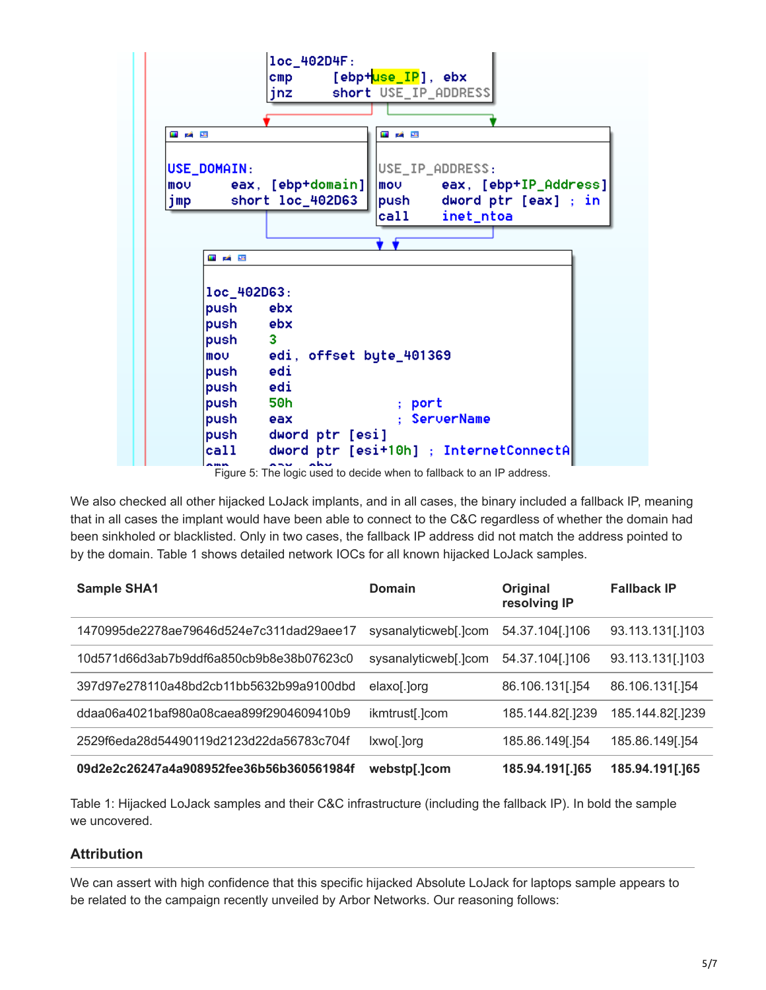|                           |                                                     | loc_402D4F:<br>cmp [ebp+ <mark>use_IP</mark> ], ebx |              | jnz short USE_IP_ADDRESS               |                           |
|---------------------------|-----------------------------------------------------|-----------------------------------------------------|--------------|----------------------------------------|---------------------------|
| 내 김 모                     |                                                     |                                                     | <u>ی میں</u> |                                        |                           |
| USE_DOMAIN:<br>mov<br>jmp | eax, [ebp+domain]<br>short loc_402D63               |                                                     |              | USE_IP_ADDRESS:                        | push dword ptr [eax] ; in |
|                           |                                                     |                                                     |              | call inet_ntoa                         |                           |
|                           |                                                     |                                                     |              |                                        |                           |
|                           | ■ 24 国                                              |                                                     |              |                                        |                           |
|                           | $loc_402D63$ :<br>push ebx                          |                                                     |              |                                        |                           |
|                           | push ebx<br>push 3                                  |                                                     |              |                                        |                           |
|                           | mov edi, offset byte_401369<br>push edi<br>push edi |                                                     |              |                                        |                           |
|                           | push 50h                                            |                                                     | ; port       |                                        |                           |
|                           | push eax                                            |                                                     |              | ; ServerName                           |                           |
|                           | push dword ptr [esi]                                |                                                     |              |                                        |                           |
| call                      | ---                                                 | بحمائم                                              |              | dword ptr [esi+10h] ; InternetConnectA |                           |

Figure 5: The logic used to decide when to fallback to an IP address.

We also checked all other hijacked LoJack implants, and in all cases, the binary included a fallback IP, meaning that in all cases the implant would have been able to connect to the C&C regardless of whether the domain had been sinkholed or blacklisted. Only in two cases, the fallback IP address did not match the address pointed to by the domain. Table 1 shows detailed network IOCs for all known hijacked LoJack samples.

| <b>Sample SHA1</b>                       | Domain               | Original<br>resolving IP | <b>Fallback IP</b> |
|------------------------------------------|----------------------|--------------------------|--------------------|
| 1470995de2278ae79646d524e7c311dad29aee17 | sysanalyticweb[.]com | 54.37.104[.]106          | 93.113.131[.]103   |
| 10d571d66d3ab7b9ddf6a850cb9b8e38b07623c0 | sysanalyticweb[.]com | 54.37.104[.]106          | 93.113.131[.]103   |
| 397d97e278110a48bd2cb11bb5632b99a9100dbd | elaxo[.]org          | 86.106.131[.]54          | 86.106.131[.]54    |
| ddaa06a4021baf980a08caea899f2904609410b9 | ikmtrust[.]com       | 185.144.82[.]239         | 185.144.82[.]239   |
| 2529f6eda28d54490119d2123d22da56783c704f | lxwo[.]org           | 185.86.149[.]54          | 185.86.149[.]54    |
| 09d2e2c26247a4a908952fee36b56b360561984f | webstp[.]com         | 185.94.191[.]65          | 185.94.191[.]65    |

Table 1: Hijacked LoJack samples and their C&C infrastructure (including the fallback IP). In bold the sample we uncovered.

## **Attribution**

We can assert with high confidence that this specific hijacked Absolute LoJack for laptops sample appears to be related to the campaign recently unveiled by Arbor Networks. Our reasoning follows: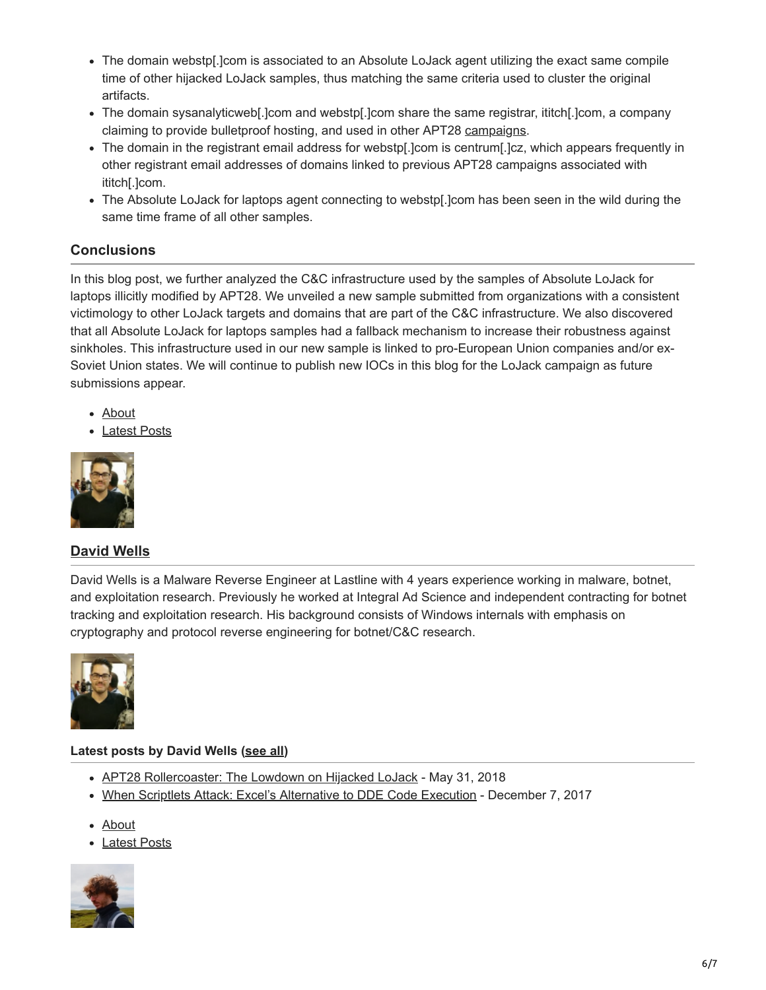- The domain webstp[.]com is associated to an Absolute LoJack agent utilizing the exact same compile time of other hijacked LoJack samples, thus matching the same criteria used to cluster the original artifacts.
- The domain sysanalyticweb[.]com and webstp[.]com share the same registrar, ititch[.]com, a company claiming to provide bulletproof hosting, and used in other APT28 [campaigns.](https://www.fidelissecurity.com/threatgeek/2016/08/fancy-bear-has-it-itch-they-can%E2%80%99t-scratch)
- The domain in the registrant email address for webstp[.]com is centrum[.]cz, which appears frequently in other registrant email addresses of domains linked to previous APT28 campaigns associated with ititch[.]com.
- The Absolute LoJack for laptops agent connecting to webstp[.]com has been seen in the wild during the same time frame of all other samples.

## **Conclusions**

In this blog post, we further analyzed the C&C infrastructure used by the samples of Absolute LoJack for laptops illicitly modified by APT28. We unveiled a new sample submitted from organizations with a consistent victimology to other LoJack targets and domains that are part of the C&C infrastructure. We also discovered that all Absolute LoJack for laptops samples had a fallback mechanism to increase their robustness against sinkholes. This infrastructure used in our new sample is linked to pro-European Union companies and/or ex-Soviet Union states. We will continue to publish new IOCs in this blog for the LoJack campaign as future submissions appear.

- About
- Latest Posts



## **[David Wells](https://www.lastline.com/author/dwells/)**

David Wells is a Malware Reverse Engineer at Lastline with 4 years experience working in malware, botnet, and exploitation research. Previously he worked at Integral Ad Science and independent contracting for botnet tracking and exploitation research. His background consists of Windows internals with emphasis on cryptography and protocol reverse engineering for botnet/C&C research.



#### **Latest posts by David Wells [\(see all](https://www.lastline.com/author/dwells/))**

- [APT28 Rollercoaster: The Lowdown on Hijacked LoJack](https://www.lastline.com/labsblog/apt28-rollercoaster-the-lowdown-on-hijacked-lojack/) May 31, 2018
- [When Scriptlets Attack: Excel's Alternative to DDE Code Execution](https://www.lastline.com/labsblog/when-scriptlets-attack-excels-alternative-to-dde-code-execution/) December 7, 2017
- About
- Latest Posts